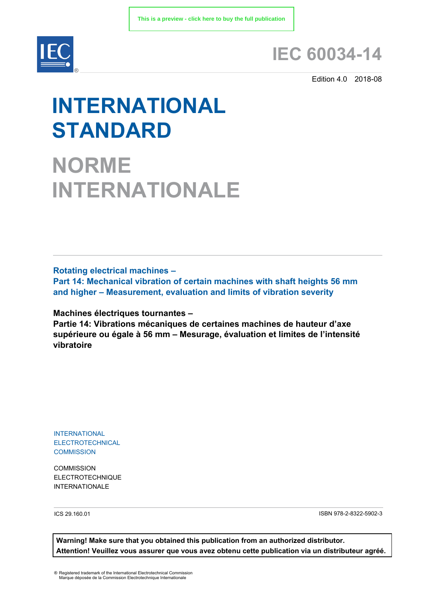

# **IEC 60034-14**

Edition 4.0 2018-08

# **INTERNATIONAL STANDARD**

**NORME INTERNATIONALE**

**Rotating electrical machines –**

**Part 14: Mechanical vibration of certain machines with shaft heights 56 mm and higher – Measurement, evaluation and limits of vibration severity**

**Machines électriques tournantes –** 

**Partie 14: Vibrations mécaniques de certaines machines de hauteur d'axe supérieure ou égale à 56 mm – Mesurage, évaluation et limites de l'intensité vibratoire**

INTERNATIONAL ELECTROTECHNICAL **COMMISSION** 

**COMMISSION** ELECTROTECHNIQUE INTERNATIONALE

ICS 29.160.01 ISBN 978-2-8322-5902-3

**Warning! Make sure that you obtained this publication from an authorized distributor. Attention! Veuillez vous assurer que vous avez obtenu cette publication via un distributeur agréé.**

® Registered trademark of the International Electrotechnical Commission Marque déposée de la Commission Electrotechnique Internationale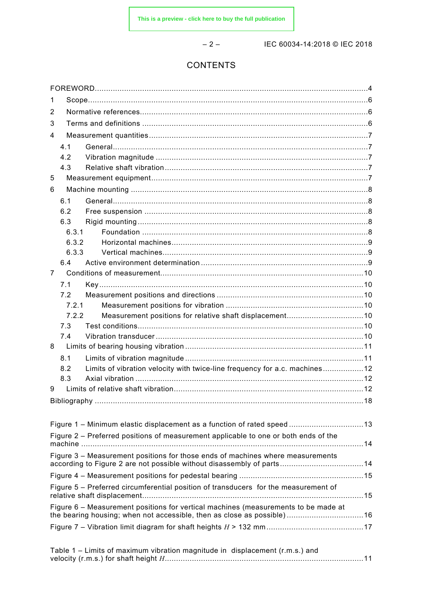– 2 – IEC 60034-14:2018 © IEC 2018

# CONTENTS

| 1 |       |                                                                                                                                                         |  |
|---|-------|---------------------------------------------------------------------------------------------------------------------------------------------------------|--|
| 2 |       |                                                                                                                                                         |  |
| 3 |       |                                                                                                                                                         |  |
| 4 |       |                                                                                                                                                         |  |
|   | 4.1   |                                                                                                                                                         |  |
|   | 4.2   |                                                                                                                                                         |  |
|   | 4.3   |                                                                                                                                                         |  |
| 5 |       |                                                                                                                                                         |  |
| 6 |       |                                                                                                                                                         |  |
|   | 6.1   |                                                                                                                                                         |  |
|   | 6.2   |                                                                                                                                                         |  |
|   | 6.3   |                                                                                                                                                         |  |
|   | 6.3.1 |                                                                                                                                                         |  |
|   | 6.3.2 |                                                                                                                                                         |  |
|   | 6.3.3 |                                                                                                                                                         |  |
|   | 6.4   |                                                                                                                                                         |  |
| 7 |       |                                                                                                                                                         |  |
|   | 7.1   |                                                                                                                                                         |  |
|   | 7.2   |                                                                                                                                                         |  |
|   | 7.2.1 |                                                                                                                                                         |  |
|   | 7.2.2 |                                                                                                                                                         |  |
|   | 7.3   |                                                                                                                                                         |  |
|   | 7.4   |                                                                                                                                                         |  |
| 8 |       |                                                                                                                                                         |  |
|   | 8.1   |                                                                                                                                                         |  |
|   | 8.2   | Limits of vibration velocity with twice-line frequency for a.c. machines12                                                                              |  |
|   | 8.3   |                                                                                                                                                         |  |
| 9 |       |                                                                                                                                                         |  |
|   |       |                                                                                                                                                         |  |
|   |       |                                                                                                                                                         |  |
|   |       | Figure 1 – Minimum elastic displacement as a function of rated speed13                                                                                  |  |
|   |       | Figure 2 – Preferred positions of measurement applicable to one or both ends of the                                                                     |  |
|   |       |                                                                                                                                                         |  |
|   |       | Figure 3 - Measurement positions for those ends of machines where measurements<br>according to Figure 2 are not possible without disassembly of parts14 |  |
|   |       |                                                                                                                                                         |  |
|   |       | Figure 5 - Preferred circumferential position of transducers for the measurement of                                                                     |  |
|   |       | Figure 6 - Measurement positions for vertical machines (measurements to be made at                                                                      |  |
|   |       | the bearing housing; when not accessible, then as close as possible)16                                                                                  |  |
|   |       |                                                                                                                                                         |  |
|   |       |                                                                                                                                                         |  |

| Table 1 – Limits of maximum vibration magnitude in displacement (r.m.s.) and |  |  |
|------------------------------------------------------------------------------|--|--|
|                                                                              |  |  |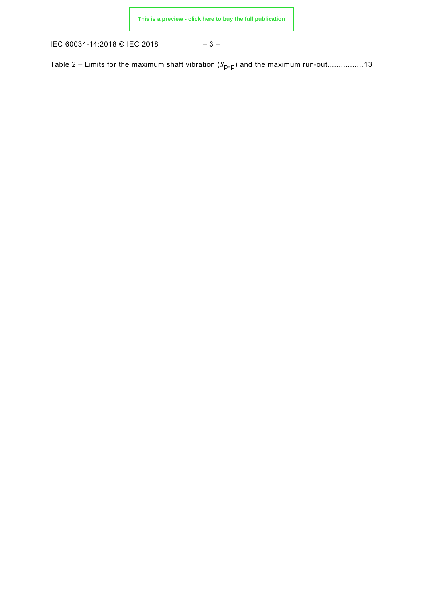IEC 60034-14:2018 © IEC 2018 – 3 –

Table 2 – Limits for the maximum shaft vibration (*S*p-p) and the maximum run-out................13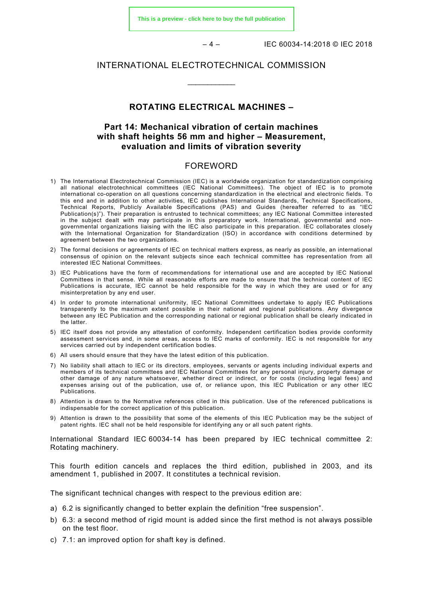**[This is a preview - click here to buy the full publication](https://webstore.iec.ch/publication/59889&preview)**

 $-4 -$  IEC 60034-14:2018 © IEC 2018

#### INTERNATIONAL ELECTROTECHNICAL COMMISSION

\_\_\_\_\_\_\_\_\_\_\_\_

# **ROTATING ELECTRICAL MACHINES –**

# **Part 14: Mechanical vibration of certain machines with shaft heights 56 mm and higher – Measurement, evaluation and limits of vibration severity**

#### FOREWORD

- <span id="page-3-0"></span>1) The International Electrotechnical Commission (IEC) is a worldwide organization for standardization comprising all national electrotechnical committees (IEC National Committees). The object of IEC is to promote international co-operation on all questions concerning standardization in the electrical and electronic fields. To this end and in addition to other activities, IEC publishes International Standards, Technical Specifications, Technical Reports, Publicly Available Specifications (PAS) and Guides (hereafter referred to as "IEC Publication(s)"). Their preparation is entrusted to technical committees; any IEC National Committee interested in the subject dealt with may participate in this preparatory work. International, governmental and nongovernmental organizations liaising with the IEC also participate in this preparation. IEC collaborates closely with the International Organization for Standardization (ISO) in accordance with conditions determined by agreement between the two organizations.
- 2) The formal decisions or agreements of IEC on technical matters express, as nearly as possible, an international consensus of opinion on the relevant subjects since each technical committee has representation from all interested IEC National Committees.
- 3) IEC Publications have the form of recommendations for international use and are accepted by IEC National Committees in that sense. While all reasonable efforts are made to ensure that the technical content of IEC Publications is accurate, IEC cannot be held responsible for the way in which they are used or for any misinterpretation by any end user.
- 4) In order to promote international uniformity, IEC National Committees undertake to apply IEC Publications transparently to the maximum extent possible in their national and regional publications. Any divergence between any IEC Publication and the corresponding national or regional publication shall be clearly indicated in the latter.
- 5) IEC itself does not provide any attestation of conformity. Independent certification bodies provide conformity assessment services and, in some areas, access to IEC marks of conformity. IEC is not responsible for any services carried out by independent certification bodies.
- 6) All users should ensure that they have the latest edition of this publication.
- 7) No liability shall attach to IEC or its directors, employees, servants or agents including individual experts and members of its technical committees and IEC National Committees for any personal injury, property damage or other damage of any nature whatsoever, whether direct or indirect, or for costs (including legal fees) and expenses arising out of the publication, use of, or reliance upon, this IEC Publication or any other IEC Publications.
- 8) Attention is drawn to the Normative references cited in this publication. Use of the referenced publications is indispensable for the correct application of this publication.
- 9) Attention is drawn to the possibility that some of the elements of this IEC Publication may be the subject of patent rights. IEC shall not be held responsible for identifying any or all such patent rights.

International Standard IEC 60034-14 has been prepared by IEC technical committee 2: Rotating machinery.

This fourth edition cancels and replaces the third edition, published in 2003, and its amendment 1, published in 2007. It constitutes a technical revision.

The significant technical changes with respect to the previous edition are:

- a) 6.2 is significantly changed to better explain the definition "free suspension".
- b) 6.3: a second method of rigid mount is added since the first method is not always possible on the test floor.
- c) 7.1: an improved option for shaft key is defined.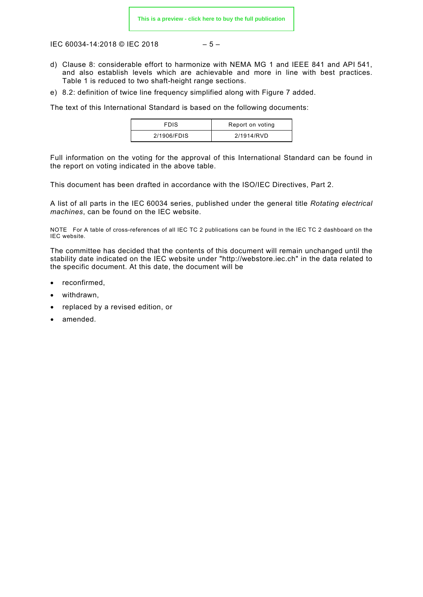IEC 60034-14:2018 © IEC 2018 – 5 –

- d) Clause 8: considerable effort to harmonize with NEMA MG 1 and IEEE 841 and API 541, and also establish levels which are achievable and more in line with best practices. Table 1 is reduced to two shaft-height range sections.
- e) 8.2: definition of twice line frequency simplified along with Figure 7 added.

The text of this International Standard is based on the following documents:

| <b>FDIS</b> | Report on voting |
|-------------|------------------|
| 2/1906/FDIS | 2/1914/RVD       |

Full information on the voting for the approval of this International Standard can be found in the report on voting indicated in the above table.

This document has been drafted in accordance with the ISO/IEC Directives, Part 2.

A list of all parts in the IEC 60034 series, published under the general title *Rotating electrical machines*, can be found on the IEC website.

NOTE For A table of cross-references of all IEC TC 2 publications can be found in the IEC TC 2 dashboard on the IEC website.

The committee has decided that the contents of this document will remain unchanged until the stability date indicated on the IEC website under "http://webstore.iec.ch" in the data related to the specific document. At this date, the document will be

- reconfirmed.
- withdrawn.
- replaced by a revised edition, or
- amended.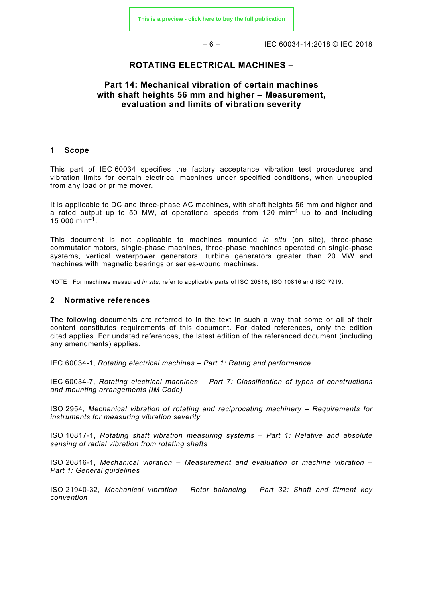$-6 -$  IEC 60034-14:2018 © IEC 2018

## **ROTATING ELECTRICAL MACHINES –**

# **Part 14: Mechanical vibration of certain machines with shaft heights 56 mm and higher – Measurement, evaluation and limits of vibration severity**

#### <span id="page-5-0"></span>**1 Scope**

This part of IEC 60034 specifies the factory acceptance vibration test procedures and vibration limits for certain electrical machines under specified conditions, when uncoupled from any load or prime mover.

It is applicable to DC and three-phase AC machines, with shaft heights 56 mm and higher and a rated output up to 50 MW, at operational speeds from 120  $min^{-1}$  up to and including  $15000$  min<sup>-1</sup>.

This document is not applicable to machines mounted *in situ* (on site), three-phase commutator motors, single-phase machines, three-phase machines operated on single-phase systems, vertical waterpower generators, turbine generators greater than 20 MW and machines with magnetic bearings or series-wound machines.

NOTE For machines measured *in situ,* refer to applicable parts of ISO 20816, ISO 10816 and ISO 7919.

#### <span id="page-5-1"></span>**2 Normative references**

The following documents are referred to in the text in such a way that some or all of their content constitutes requirements of this document. For dated references, only the edition cited applies. For undated references, the latest edition of the referenced document (including any amendments) applies.

IEC 60034-1, *Rotating electrical machines – Part 1: Rating and performance*

IEC 60034-7, *Rotating electrical machines – Part 7: Classification of types of constructions and mounting arrangements (IM Code)*

ISO 2954, *Mechanical vibration of rotating and reciprocating machinery – Requirements for instruments for measuring vibration severity*

ISO 10817-1, *Rotating shaft vibration measuring systems – Part 1: Relative and absolute sensing of radial vibration from rotating shafts*

ISO 20816-1, *Mechanical vibration – Measurement and evaluation of machine vibration – Part 1: General guidelines*

<span id="page-5-2"></span>ISO 21940-32, *Mechanical vibration – Rotor balancing – Part 32: Shaft and fitment key convention*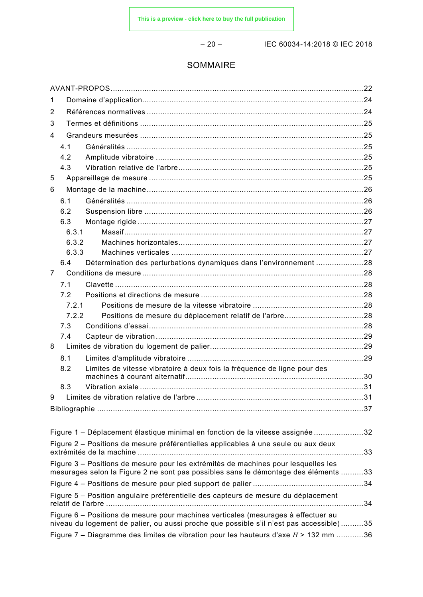– 20 – IEC 60034-14:2018 © IEC 2018

# SOMMAIRE

| 1 |       |                                                                                         |  |
|---|-------|-----------------------------------------------------------------------------------------|--|
| 2 |       |                                                                                         |  |
| 3 |       |                                                                                         |  |
| 4 |       |                                                                                         |  |
|   | 4.1   |                                                                                         |  |
|   | 4.2   |                                                                                         |  |
|   | 4.3   |                                                                                         |  |
| 5 |       |                                                                                         |  |
| 6 |       |                                                                                         |  |
|   | 6.1   |                                                                                         |  |
|   | 6.2   |                                                                                         |  |
|   | 6.3   |                                                                                         |  |
|   | 6.3.1 |                                                                                         |  |
|   | 6.3.2 |                                                                                         |  |
|   | 6.3.3 |                                                                                         |  |
|   | 6.4   | Détermination des perturbations dynamiques dans l'environnement 28                      |  |
| 7 |       |                                                                                         |  |
|   | 7.1   |                                                                                         |  |
|   | 7.2   |                                                                                         |  |
|   | 7.2.1 |                                                                                         |  |
|   | 7.2.2 |                                                                                         |  |
|   | 7.3   |                                                                                         |  |
|   | 7.4   |                                                                                         |  |
| 8 |       |                                                                                         |  |
|   | 8.1   |                                                                                         |  |
|   | 8.2   | Limites de vitesse vibratoire à deux fois la fréquence de ligne pour des                |  |
|   | 8.3   |                                                                                         |  |
| 9 |       |                                                                                         |  |
|   |       |                                                                                         |  |
|   |       |                                                                                         |  |
|   |       | Figure 1 – Déplacement élastique minimal en fonction de la vitesse assignée 32          |  |
|   |       |                                                                                         |  |
|   |       | Figure 2 – Positions de mesure préférentielles applicables à une seule ou aux deux      |  |
|   |       | Figure 3 - Positions de mesure pour les extrémités de machines pour lesquelles les      |  |
|   |       | mesurages selon la Figure 2 ne sont pas possibles sans le démontage des éléments 33     |  |
|   |       |                                                                                         |  |
|   |       | Figure 5 - Position angulaire préférentielle des capteurs de mesure du déplacement      |  |
|   |       |                                                                                         |  |
|   |       | Figure 6 - Positions de mesure pour machines verticales (mesurages à effectuer au       |  |
|   |       | niveau du logement de palier, ou aussi proche que possible s'il n'est pas accessible)35 |  |
|   |       | Figure 7 – Diagramme des limites de vibration pour les hauteurs d'axe H > 132 mm 36     |  |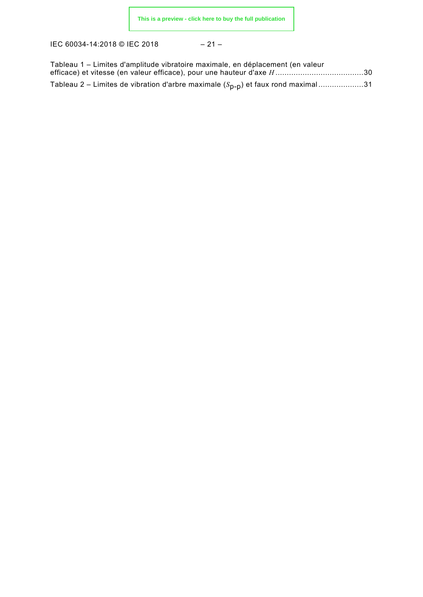IEC 60034-14:2018 © IEC 2018

$$
-21 -
$$

| Tableau 1 – Limites d'amplitude vibratoire maximale, en déplacement (en valeur        |  |
|---------------------------------------------------------------------------------------|--|
|                                                                                       |  |
| Tableau 2 – Limites de vibration d'arbre maximale $(S_{p-p})$ et faux rond maximal 31 |  |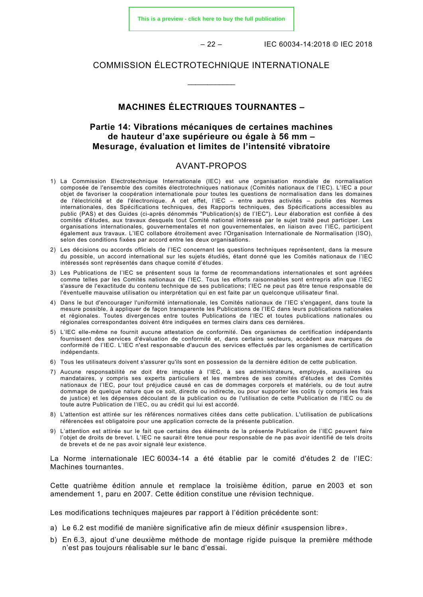**[This is a preview - click here to buy the full publication](https://webstore.iec.ch/publication/59889&preview)**

– 22 – IEC 60034-14:2018 © IEC 2018

#### COMMISSION ÉLECTROTECHNIQUE INTERNATIONALE

\_\_\_\_\_\_\_\_\_\_\_\_

# **MACHINES ÉLECTRIQUES TOURNANTES –**

# **Partie 14: Vibrations mécaniques de certaines machines de hauteur d'axe supérieure ou égale à 56 mm – Mesurage, évaluation et limites de l'intensité vibratoire**

## AVANT-PROPOS

- <span id="page-8-0"></span>1) La Commission Electrotechnique Internationale (IEC) est une organisation mondiale de normalisation composée de l'ensemble des comités électrotechniques nationaux (Comités nationaux de l'IEC). L'IEC a pour objet de favoriser la coopération internationale pour toutes les questions de normalisation dans les domaines de l'électricité et de l'électronique. A cet effet, l'IEC – entre autres activités – publie des Normes internationales, des Spécifications techniques, des Rapports techniques, des Spécifications accessibles au public (PAS) et des Guides (ci-après dénommés "Publication(s) de l'IEC"). Leur élaboration est confiée à des comités d'études, aux travaux desquels tout Comité national intéressé par le sujet traité peut participer. Les organisations internationales, gouvernementales et non gouvernementales, en liaison avec l'IEC, participent également aux travaux. L'IEC collabore étroitement avec l'Organisation Internationale de Normalisation (ISO), selon des conditions fixées par accord entre les deux organisations.
- 2) Les décisions ou accords officiels de l'IEC concernant les questions techniques représentent, dans la mesure du possible, un accord international sur les sujets étudiés, étant donné que les Comités nationaux de l'IEC intéressés sont représentés dans chaque comité d'études.
- 3) Les Publications de l'IEC se présentent sous la forme de recommandations internationales et sont agréées comme telles par les Comités nationaux de l'IEC. Tous les efforts raisonnables sont entrepris afin que l'IEC s'assure de l'exactitude du contenu technique de ses publications; l'IEC ne peut pas être tenue responsable de l'éventuelle mauvaise utilisation ou interprétation qui en est faite par un quelconque utilisateur final.
- 4) Dans le but d'encourager l'uniformité internationale, les Comités nationaux de l'IEC s'engagent, dans toute la mesure possible, à appliquer de façon transparente les Publications de l'IEC dans leurs publications nationales et régionales. Toutes divergences entre toutes Publications de l'IEC et toutes publications nationales ou régionales correspondantes doivent être indiquées en termes clairs dans ces dernières.
- 5) L'IEC elle-même ne fournit aucune attestation de conformité. Des organismes de certification indépendants fournissent des services d'évaluation de conformité et, dans certains secteurs, accèdent aux marques de conformité de l'IEC. L'IEC n'est responsable d'aucun des services effectués par les organismes de certification indépendants.
- 6) Tous les utilisateurs doivent s'assurer qu'ils sont en possession de la dernière édition de cette publication.
- 7) Aucune responsabilité ne doit être imputée à l'IEC, à ses administrateurs, employés, auxiliaires ou mandataires, y compris ses experts particuliers et les membres de ses comités d'études et des Comités nationaux de l'IEC, pour tout préjudice causé en cas de dommages corporels et matériels, ou de tout autre dommage de quelque nature que ce soit, directe ou indirecte, ou pour supporter les coûts (y compris les frais de justice) et les dépenses découlant de la publication ou de l'utilisation de cette Publication de l'IEC ou de toute autre Publication de l'IEC, ou au crédit qui lui est accordé.
- 8) L'attention est attirée sur les références normatives citées dans cette publication. L'utilisation de publications référencées est obligatoire pour une application correcte de la présente publication.
- 9) L'attention est attirée sur le fait que certains des éléments de la présente Publication de l'IEC peuvent faire l'objet de droits de brevet. L'IEC ne saurait être tenue pour responsable de ne pas avoir identifié de tels droits de brevets et de ne pas avoir signalé leur existence.

La Norme internationale IEC 60034-14 a été établie par le comité d'études 2 de l'IEC: Machines tournantes.

Cette quatrième édition annule et remplace la troisième édition, parue en 2003 et son amendement 1, paru en 2007. Cette édition constitue une révision technique.

Les modifications techniques majeures par rapport à l'édition précédente sont:

- a) Le 6.2 est modifié de manière significative afin de mieux définir «suspension libre».
- b) En 6.3, ajout d'une deuxième méthode de montage rigide puisque la première méthode n'est pas toujours réalisable sur le banc d'essai.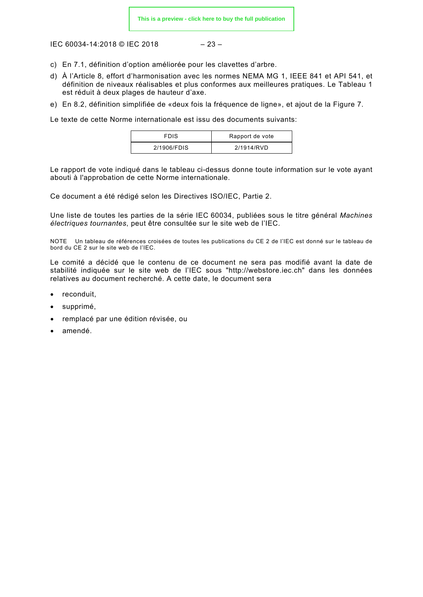IEC 60034-14:2018 © IEC 2018

$$
-23-
$$

- c) En 7.1, définition d'option améliorée pour les clavettes d'arbre.
- d) À l'Article 8, effort d'harmonisation avec les normes NEMA MG 1, IEEE 841 et API 541, et définition de niveaux réalisables et plus conformes aux meilleures pratiques. Le Tableau 1 est réduit à deux plages de hauteur d'axe.
- e) En 8.2, définition simplifiée de «deux fois la fréquence de ligne», et ajout de la Figure 7.

Le texte de cette Norme internationale est issu des documents suivants:

| <b>FDIS</b> | Rapport de vote |
|-------------|-----------------|
| 2/1906/FDIS | 2/1914/RVD      |

Le rapport de vote indiqué dans le tableau ci-dessus donne toute information sur le vote ayant abouti à l'approbation de cette Norme internationale.

Ce document a été rédigé selon les Directives ISO/IEC, Partie 2.

Une liste de toutes les parties de la série IEC 60034, publiées sous le titre général *Machines électriques tournantes*, peut être consultée sur le site web de l'IEC.

NOTE Un tableau de références croisées de toutes les publications du CE 2 de l'IEC est donné sur le tableau de bord du CE 2 sur le site web de l'IEC.

Le comité a décidé que le contenu de ce document ne sera pas modifié avant la date de stabilité indiquée sur le site web de l'IEC sous "http://webstore.iec.ch" dans les données relatives au document recherché. A cette date, le document sera

- reconduit.
- supprimé,
- remplacé par une édition révisée, ou
- amendé.